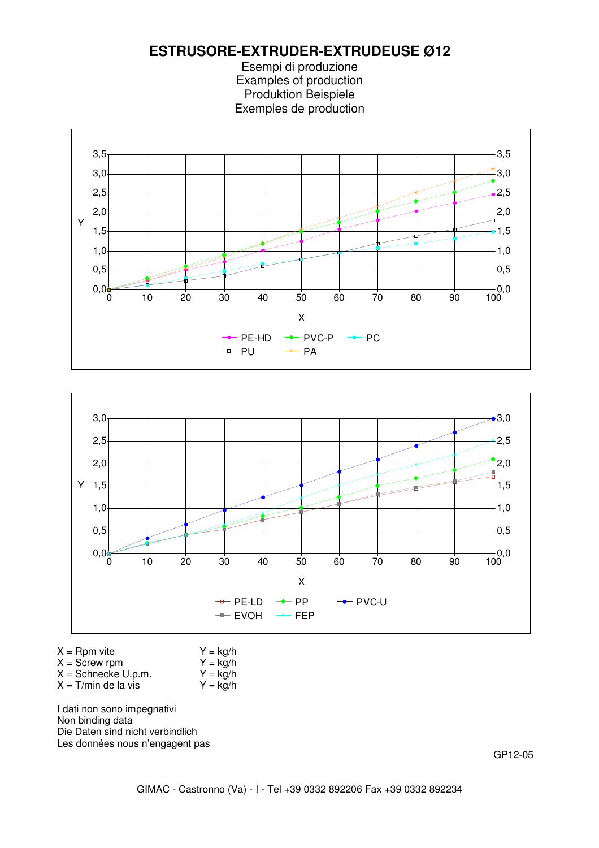





| $X =$ Rpm vite |
|----------------|
|----------------|

 $Y = kg/h$ <br> $Y = kg/h$ 

- $X =$ Screw rpm  $Y =$  kg/h<br> $X =$ Schnecke U.p.m.  $Y =$  kg/h
- $X =$  Schnecke U.p.m.  $Y =$  kg/h<br> $X = T/min$  de la vis  $Y =$  kg/h  $X = T/m$ in de la vis

I dati non sono impegnativi Non binding data Die Daten sind nicht verbindlich Les données nous n'engagent pas

GP12-05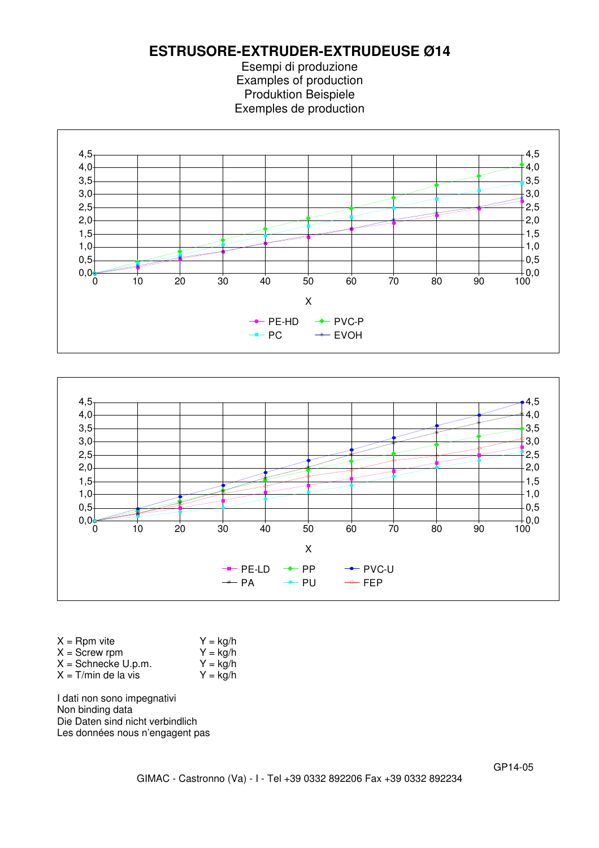Esempi di produzione Examples of production Produktion Beispiele Exemples de production





| $X =$ Rpm vite        | $Y = \frac{kq}{h}$ |
|-----------------------|--------------------|
| $X =$ Screw rpm       | $Y = \frac{kq}{h}$ |
| $X =$ Schnecke U.p.m. | $Y = \frac{kg}{h}$ |
| $X = T/min$ de la vis | $Y = \frac{kq}{h}$ |

I dati non sono impegnativi Non binding data Die Daten sind nicht verbindlich Les données nous n'engagent pas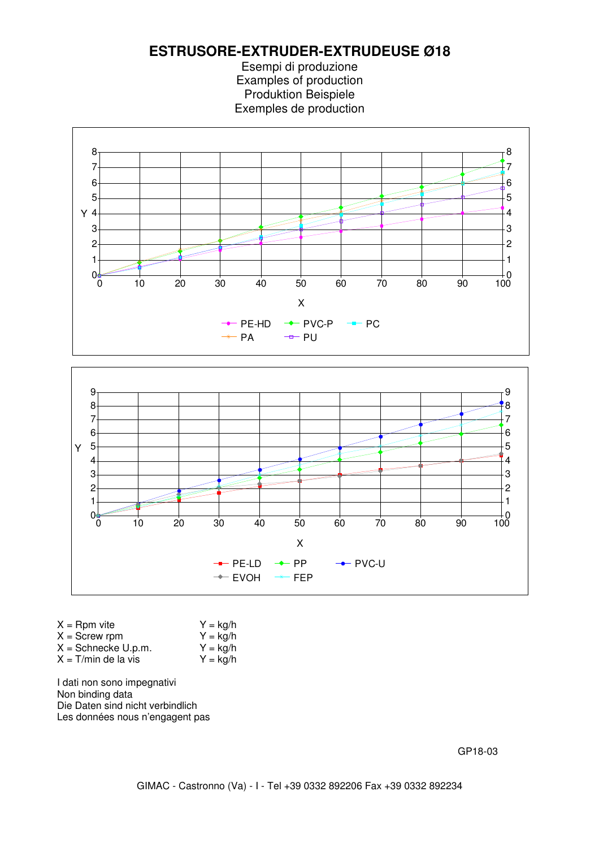**ESTRUSORE-EXTRUDER-EXTRUDEUSE Ø18**

Esempi di produzione Examples of production Produktion Beispiele Exemples de production



![](_page_2_Figure_3.jpeg)

| $X =$ Rpm vite         | $Y = \frac{kq}{h}$ |
|------------------------|--------------------|
| $X =$ Screw rpm        | $Y = \frac{kq}{h}$ |
| $X =$ Schnecke U.p.m.  | $Y = \frac{kq}{h}$ |
| $X = T/m$ in de la vis | $Y = \frac{kq}{h}$ |
|                        |                    |

I dati non sono impegnativi Non binding data Die Daten sind nicht verbindlich Les données nous n'engagent pas

GP18-03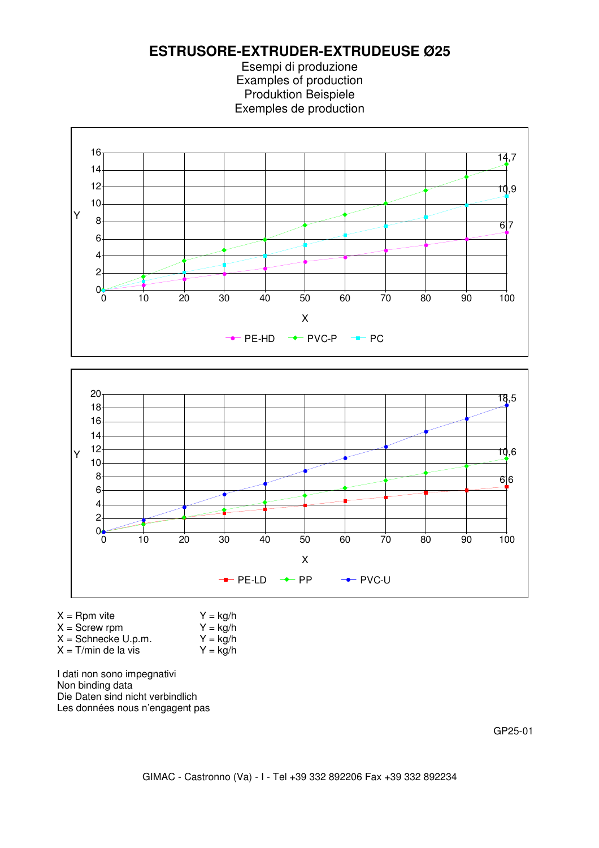Esempi di produzione Examples of production Produktion Beispiele Exemples de production

![](_page_3_Figure_2.jpeg)

![](_page_3_Figure_3.jpeg)

| $X =$ Rpm vite        | $Y = \frac{kq}{h}$ |
|-----------------------|--------------------|
| $X =$ Screw rpm       | $Y = \frac{kq}{h}$ |
| $X =$ Schnecke U.p.m. | $Y = \frac{kq}{h}$ |
| $X = T/min$ de la vis | $Y = \frac{kq}{h}$ |
|                       |                    |

I dati non sono impegnativi Non binding data Die Daten sind nicht verbindlich Les données nous n'engagent pas

GP25-01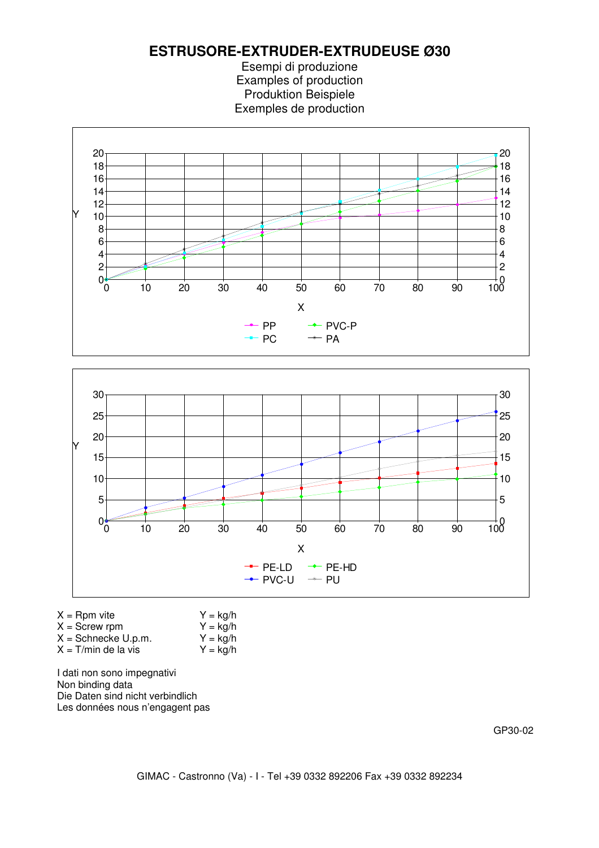**ESTRUSORE-EXTRUDER-EXTRUDEUSE Ø30**

Esempi di produzione Examples of production Produktion Beispiele Exemples de production

![](_page_4_Figure_2.jpeg)

![](_page_4_Figure_3.jpeg)

| $X =$ Rpm vite        | $Y = \frac{kg}{h}$ |
|-----------------------|--------------------|
| $X =$ Screw rpm       | $Y = \frac{kq}{h}$ |
| $X =$ Schnecke U.p.m. | $Y = \frac{kq}{h}$ |
| $X = T/min$ de la vis | $Y = \frac{kq}{h}$ |

I dati non sono impegnativi Non binding data Die Daten sind nicht verbindlich Les données nous n'engagent pas

GP30-02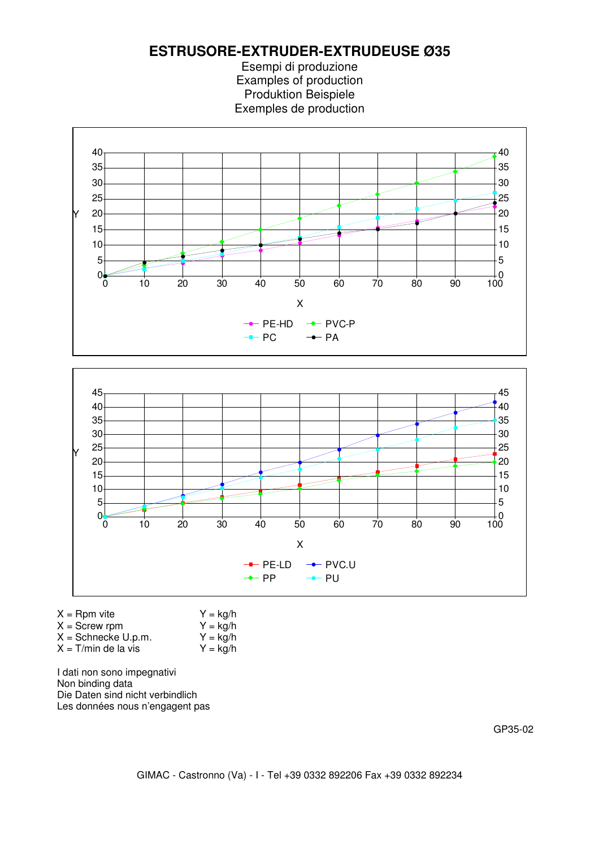**ESTRUSORE-EXTRUDER-EXTRUDEUSE Ø35**

Esempi di produzione Examples of production Produktion Beispiele Exemples de production

![](_page_5_Figure_2.jpeg)

![](_page_5_Figure_3.jpeg)

| $X =$ Rpm vite        | $Y = \frac{kq}{h}$       |
|-----------------------|--------------------------|
| $X =$ Screw rpm       | $Y = \frac{kq}{h}$       |
| $X =$ Schnecke U.p.m. | $Y = \frac{kq}{h}$       |
| $X = T/min$ de la vis | $Y = \text{kg}/\text{h}$ |

I dati non sono impegnativi Non binding data Die Daten sind nicht verbindlich Les données nous n'engagent pas

GP35-02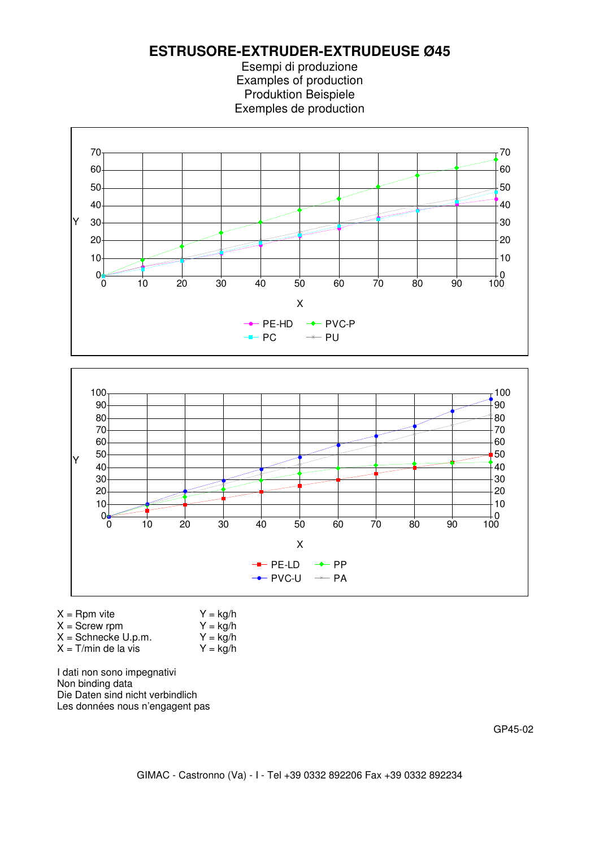**ESTRUSORE-EXTRUDER-EXTRUDEUSE Ø45**

Esempi di produzione Examples of production Produktion Beispiele Exemples de production

![](_page_6_Figure_2.jpeg)

![](_page_6_Figure_3.jpeg)

| $X =$ Rpm vite        | $Y = \frac{kq}{h}$ |
|-----------------------|--------------------|
| $X =$ Screw rpm       | $Y = \frac{kq}{h}$ |
| $X =$ Schnecke U.p.m. | $Y = \frac{kq}{h}$ |
| $X = T/min$ de la vis | $Y = \frac{kq}{h}$ |

I dati non sono impegnativi Non binding data Die Daten sind nicht verbindlich Les données nous n'engagent pas

GP45-02